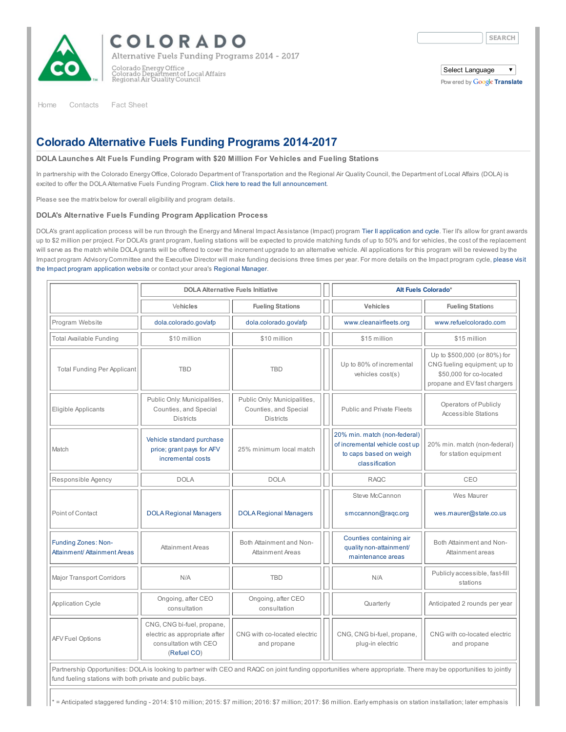

COLORADO

Alternative Fuels Funding Programs 2014 - 2017

Colorado Energy Office<br>Colorado Department of Local Affairs<br>Regional Air Quality Council

 $\overline{\mathbf{v}}$ 

Select Language Pow ered by Google [Translate](https://translate.google.com/)

[Home](http://dola.colorado.gov/afp/content/colorado-alternative-fuels-funding-programs-2014-2017) [Contacts](http://www.colorado.gov/cs/Satellite/DOLA-Main/CBON/1251593776716) Fact [Sheet](http://dola.colorado.gov/afp/content/fact-sheet)

## Colorado Alternative Fuels Funding Programs 2014-2017

## DOLA Launches Alt Fuels Funding Program with \$20 Million For Vehicles and Fueling Stations

In partnership with the Colorado Energy Office, Colorado Department of Transportation and the Regional Air Quality Council, the Department of Local Affairs (DOLA) is excited to offer the DOLA Alternative Fuels Funding Program. Click here to read the full [announcement](http://dola.colorado.gov/afp/sites/dola.colorado.gov.afp/files/documents/Alt%20Fuels%20Letter%20July%2014.pdf).

Please see the matrix below for overall eligibility and program details.

## DOLA's Alternative Fuels Funding Program Application Process

DOLA's grant application process will be run through the Energy and Mineral Impact Assistance (Impact) program Tier II [application](http://www.colorado.gov/cs/Satellite/DOLA-Main/CBON/1251594719240) and cycle. Tier II's allow for grant awards up to \$2 million per project. For DOLA's grant program, fueling stations will be expected to provide matching funds of up to 50% and for vehicles, the cost of the replacement will serve as the match while DOLA grants will be offered to cover the increment upgrade to an alternative vehicle. All applications for this program will be reviewed by the Impact program Advisory [Committee](http://www.colorado.gov/cs/Satellite/DOLA-Main/CBON/1251594719240) and the Executive Director will make funding decisions three times per year. For more details on the Impact program cycle, please visit the Impact program application website or contact your area's [Regional](http://www.colorado.gov/cs/Satellite/DOLA-Main/CBON/1251593776716) Manager.

|                                                                                                                                                                                                                             | <b>DOLA Alternative Fuels Initiative</b>                                                            |                                                                           |  | Alt Fuels Colorado*                                                                                        |                                                                                                                         |  |  |  |
|-----------------------------------------------------------------------------------------------------------------------------------------------------------------------------------------------------------------------------|-----------------------------------------------------------------------------------------------------|---------------------------------------------------------------------------|--|------------------------------------------------------------------------------------------------------------|-------------------------------------------------------------------------------------------------------------------------|--|--|--|
|                                                                                                                                                                                                                             | Vehicles                                                                                            | <b>Fueling Stations</b>                                                   |  | <b>Vehicles</b>                                                                                            | <b>Fueling Stations</b>                                                                                                 |  |  |  |
| Program Website                                                                                                                                                                                                             | dola.colorado.gov/afp                                                                               | dola.colorado.gov/afp                                                     |  | www.cleanairfleets.org                                                                                     | www.refuelcolorado.com                                                                                                  |  |  |  |
| Total Available Funding                                                                                                                                                                                                     | \$10 million                                                                                        | \$10 million                                                              |  | \$15 million                                                                                               | \$15 million                                                                                                            |  |  |  |
| <b>Total Funding Per Applicant</b>                                                                                                                                                                                          | <b>TBD</b>                                                                                          | <b>TBD</b>                                                                |  | Up to 80% of incremental<br>vehicles cost(s)                                                               | Up to \$500,000 (or 80%) for<br>CNG fueling equipment; up to<br>\$50,000 for co-located<br>propane and EV fast chargers |  |  |  |
| Eligible Applicants                                                                                                                                                                                                         | Public Only: Municipalities,<br>Counties, and Special<br><b>Districts</b>                           | Public Only: Municipalities,<br>Counties, and Special<br><b>Districts</b> |  | <b>Public and Private Fleets</b>                                                                           | Operators of Publicly<br><b>Accessible Stations</b>                                                                     |  |  |  |
| Match                                                                                                                                                                                                                       | Vehicle standard purchase<br>price; grant pays for AFV<br>incremental costs                         | 25% minimum local match                                                   |  | 20% min. match (non-federal)<br>of incremental vehicle cost up<br>to caps based on weigh<br>classification | 20% min. match (non-federal)<br>for station equipment                                                                   |  |  |  |
| Responsible Agency                                                                                                                                                                                                          | <b>DOLA</b>                                                                                         | <b>DOLA</b>                                                               |  | <b>RAQC</b>                                                                                                | CEO                                                                                                                     |  |  |  |
| Point of Contact                                                                                                                                                                                                            | <b>DOLA Regional Managers</b>                                                                       | <b>DOLA Regional Managers</b>                                             |  | Steve McCannon<br>smccannon@raqc.org                                                                       | Wes Maurer<br>wes.maurer@state.co.us                                                                                    |  |  |  |
| <b>Funding Zones: Non-</b><br>Attainment/ Attainment Areas                                                                                                                                                                  | Attainment Areas                                                                                    | Both Attainment and Non-<br><b>Attainment Areas</b>                       |  | Counties containing air<br>quality non-attainment/<br>maintenance areas                                    | Both Attainment and Non-<br>Attainment areas                                                                            |  |  |  |
| <b>Major Transport Corridors</b>                                                                                                                                                                                            | N/A                                                                                                 | <b>TBD</b>                                                                |  | N/A                                                                                                        | Publicly accessible, fast-fill<br>stations                                                                              |  |  |  |
| <b>Application Cycle</b>                                                                                                                                                                                                    | Ongoing, after CEO<br>consultation                                                                  | Ongoing, after CEO<br>consultation                                        |  | Quarterly                                                                                                  | Anticipated 2 rounds per year                                                                                           |  |  |  |
| <b>AFV Fuel Options</b>                                                                                                                                                                                                     | CNG, CNG bi-fuel, propane,<br>electric as appropriate after<br>consultation wtih CEO<br>(Refuel CO) | CNG with co-located electric<br>and propane                               |  | CNG, CNG bi-fuel, propane,<br>plug-in electric                                                             | CNG with co-located electric<br>and propane                                                                             |  |  |  |
| Partnership Opportunities: DOLA is looking to partner with CEO and RAQC on joint funding opportunities where appropriate. There may be opportunities to jointly<br>fund fueling stations with both private and public bays. |                                                                                                     |                                                                           |  |                                                                                                            |                                                                                                                         |  |  |  |

= Anticipated staggered funding - 2014: \$10 million; 2015: \$7 million; 2016: \$7 million; 2017: \$6 million. Early emphasis on station installation; later emphasis